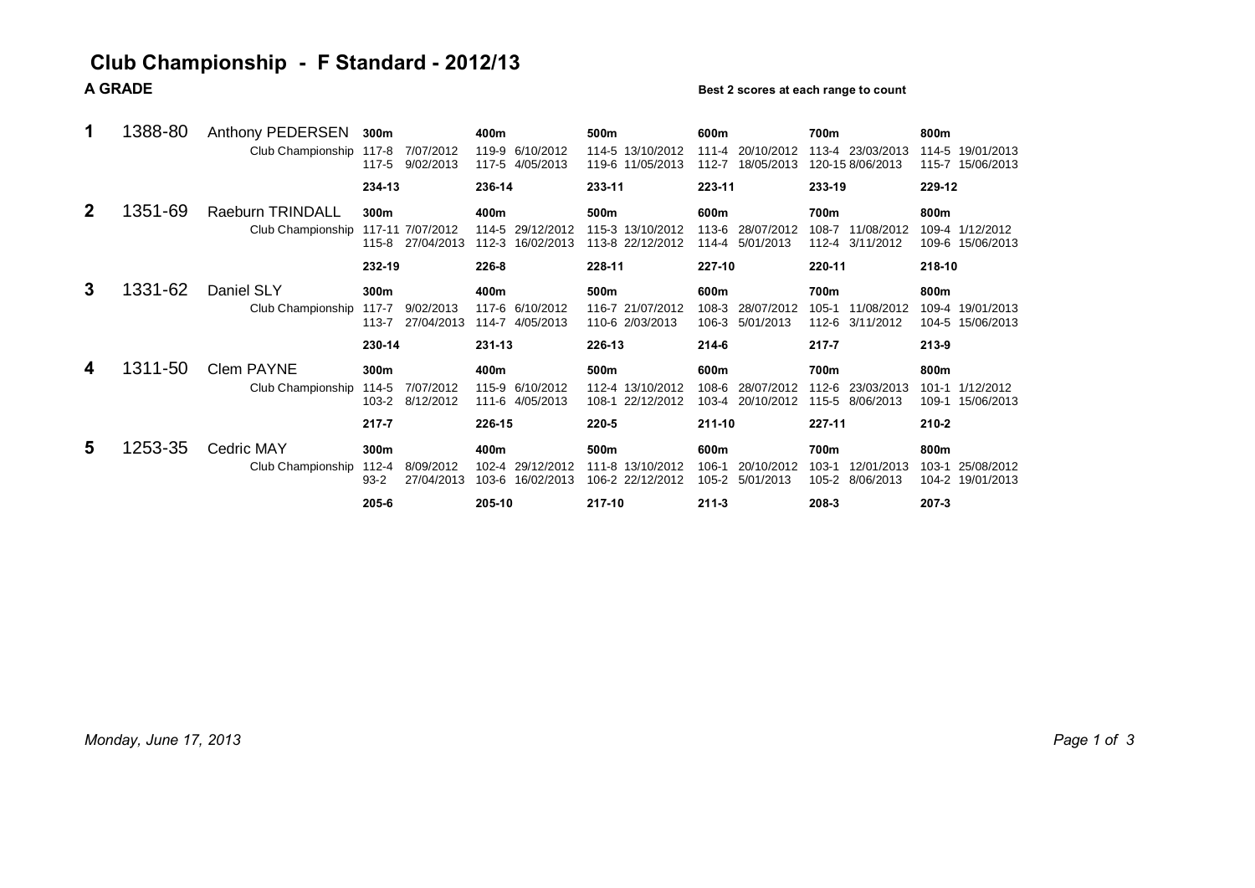## **Club Championship - F Standard - 2012/13 A GRADE Best 2 scores at each range to count**

| 1            | 1388-80 | Anthony PEDERSEN<br>Club Championship  | 300m<br>$117 - 8$<br>7/07/2012<br>$117 - 5$<br>9/02/2013  | 400m<br>119-9 6/10/2012<br>117-5 4/05/2013    | 500m<br>114-5 13/10/2012<br>119-6 11/05/2013    | 600m<br>20/10/2012<br>$111 - 4$<br>112-7<br>18/05/2013    | 700m<br>113-4 23/03/2013<br>120-15 8/06/2013          | 800m<br>114-5 19/01/2013<br>115-7 15/06/2013        |  |
|--------------|---------|----------------------------------------|-----------------------------------------------------------|-----------------------------------------------|-------------------------------------------------|-----------------------------------------------------------|-------------------------------------------------------|-----------------------------------------------------|--|
|              |         |                                        | 234-13                                                    | 236-14                                        | 233-11                                          | 223-11                                                    | 233-19                                                | 229-12                                              |  |
| $\mathbf{2}$ | 1351-69 | Raeburn TRINDALL<br>Club Championship  | 300m<br>117-11 7/07/2012<br>115-8 27/04/2013              | 400m<br>114-5 29/12/2012<br>112-3 16/02/2013  | 500m<br>115-3 13/10/2012<br>113-8 22/12/2012    | 600m<br>28/07/2012<br>$113-6$<br>5/01/2013<br>114-4       | 700m<br>108-7<br>11/08/2012<br>112-4 3/11/2012        | 800m<br>109-4 1/12/2012<br>109-6 15/06/2013         |  |
|              |         |                                        | 232-19                                                    | 226-8                                         | 228-11                                          | 227-10                                                    | 220-11                                                | 218-10                                              |  |
| 3            | 1331-62 | Daniel SLY<br>Club Championship        | 300m<br>9/02/2013<br>$117 - 7$<br>27/04/2013<br>$113 - 7$ | 400m<br>117-6 6/10/2012<br>4/05/2013<br>114-7 | 500m<br>116-7 21/07/2012<br>110-6 2/03/2013     | 600m<br>$108-3$<br>28/07/2012<br>$106 - 3$<br>5/01/2013   | 700m<br>$105 - 1$<br>11/08/2012<br>112-6<br>3/11/2012 | 800m<br>109-4<br>19/01/2013<br>104-5 15/06/2013     |  |
|              |         |                                        | 230-14                                                    | 231-13                                        | 226-13                                          | 214-6                                                     | $217 - 7$                                             | 213-9                                               |  |
| 4            | 1311-50 | Clem PAYNE<br>Club Championship        | 300m<br>7/07/2012<br>114-5<br>8/12/2012<br>103-2          | 400m<br>115-9 6/10/2012<br>111-6 4/05/2013    | 500m<br>112-4 13/10/2012<br>22/12/2012<br>108-1 | 600m<br>28/07/2012<br>$108 - 6$<br>20/10/2012<br>103-4    | 700m<br>112-6 23/03/2013<br>115-5 8/06/2013           | 800m<br>101-1 1/12/2012<br>15/06/2013<br>109-1      |  |
|              |         |                                        | $217 - 7$                                                 | 226-15                                        | 220-5                                           | $211 - 10$                                                | 227-11                                                | $210 - 2$                                           |  |
| 5            | 1253-35 | <b>Cedric MAY</b><br>Club Championship | 300m<br>8/09/2012<br>112-4<br>27/04/2013<br>$93 - 2$      | 400m<br>102-4 29/12/2012<br>103-6 16/02/2013  | 500m<br>111-8 13/10/2012<br>106-2 22/12/2012    | 600m<br>20/10/2012<br>$106 - 1$<br>5/01/2013<br>$105 - 2$ | 700m<br>$103 - 1$<br>12/01/2013<br>105-2 8/06/2013    | 800m<br>$103 - 1$<br>25/08/2012<br>104-2 19/01/2013 |  |
|              |         |                                        | 205-6                                                     | 205-10                                        | 217-10                                          | $211 - 3$                                                 | 208-3                                                 | $207 - 3$                                           |  |

*Monday, June 17, 2013 Page 1 of 3*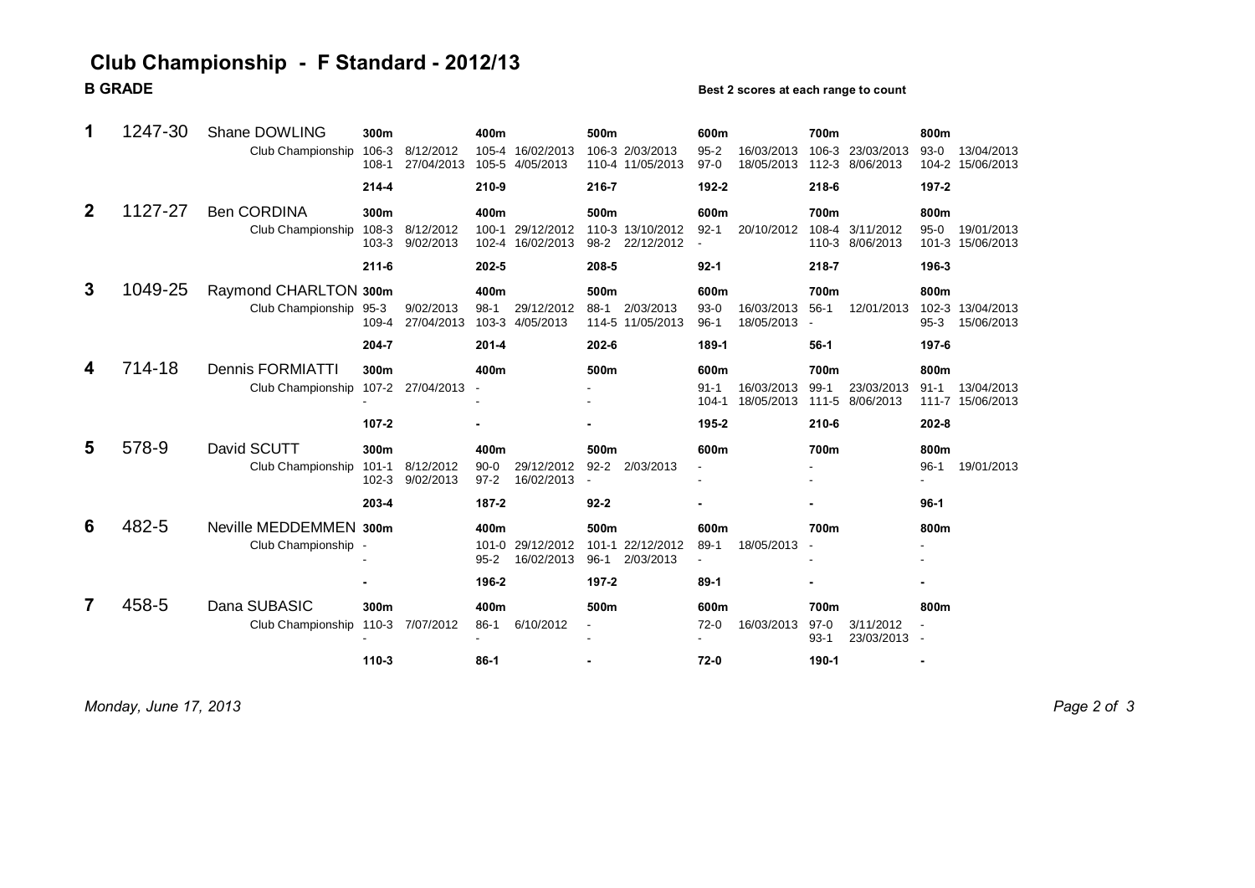# **Club Championship - F Standard - 2012/13 B GRADE B B** GRADE

|             | 1247-30 | Shane DOWLING<br>Club Championship           | 300m<br>$106 - 3$<br>$108 - 1$ | 8/12/2012<br>27/04/2013 | 400m                           | 105-4 16/02/2013<br>105-5 4/05/2013 | 500m             | 106-3 2/03/2013<br>110-4 11/05/2013 | 600m<br>$95 - 2$<br>$97-0$    | 16/03/2013<br>18/05/2013 | 700m<br>$106 - 3$<br>$112 - 3$ | 23/03/2013<br>8/06/2013            | 800m<br>$93-0$   | 13/04/2013<br>104-2 15/06/2013 |
|-------------|---------|----------------------------------------------|--------------------------------|-------------------------|--------------------------------|-------------------------------------|------------------|-------------------------------------|-------------------------------|--------------------------|--------------------------------|------------------------------------|------------------|--------------------------------|
|             |         |                                              | $214 - 4$                      |                         | 210-9                          |                                     | 216-7            |                                     | 192-2                         |                          | 218-6                          |                                    | 197-2            |                                |
| $\mathbf 2$ | 1127-27 | <b>Ben CORDINA</b><br>Club Championship      | 300m<br>$108-3$<br>$103 - 3$   | 8/12/2012<br>9/02/2013  | 400m<br>$100 - 1$<br>$102 - 4$ | 29/12/2012<br>16/02/2013            | 500m             | 110-3 13/10/2012<br>98-2 22/12/2012 | 600m<br>$92 - 1$              | 20/10/2012               | 700m                           | 108-4 3/11/2012<br>110-3 8/06/2013 | 800m<br>$95-0$   | 19/01/2013<br>101-3 15/06/2013 |
|             |         |                                              | $211 - 6$                      |                         | 202-5                          |                                     | 208-5            |                                     | $92 - 1$                      |                          | $218 - 7$                      |                                    | 196-3            |                                |
| 3           | 1049-25 | Raymond CHARLTON 300m<br>Club Championship   | $95 - 3$<br>109-4              | 9/02/2013<br>27/04/2013 | 400m<br>$98-1$                 | 29/12/2012<br>103-3 4/05/2013       | 500m<br>$88-1$   | 2/03/2013<br>114-5 11/05/2013       | 600m<br>$93-0$<br>$96 - 1$    | 16/03/2013<br>18/05/2013 | 700m<br>$56-1$                 | 12/01/2013                         | 800m<br>$95-3$   | 102-3 13/04/2013<br>15/06/2013 |
|             |         |                                              | 204-7                          |                         | $201 - 4$                      |                                     | 202-6            |                                     | 189-1                         |                          | $56-1$                         |                                    | 197-6            |                                |
| 4           | 714-18  | <b>Dennis FORMIATTI</b><br>Club Championship | 300m<br>107-2                  | 27/04/2013              | 400m                           |                                     | 500m             |                                     | 600m<br>$91 - 1$<br>$104 - 1$ | 16/03/2013<br>18/05/2013 | 700m<br>$99 - 1$<br>$111 - 5$  | 23/03/2013<br>8/06/2013            | 800m<br>$91 - 1$ | 13/04/2013<br>111-7 15/06/2013 |
|             |         |                                              | $107 - 2$                      |                         |                                |                                     |                  |                                     | 195-2                         |                          | 210-6                          |                                    | 202-8            |                                |
| 5           | 578-9   | David SCUTT<br>Club Championship             | 300m<br>$101 - 1$<br>$102 - 3$ | 8/12/2012<br>9/02/2013  | 400m<br>$90-0$<br>$97 - 2$     | 29/12/2012<br>16/02/2013            | 500m<br>$92 - 2$ | 2/03/2013                           | 600m                          |                          | 700m                           |                                    | 800m<br>$96-1$   | 19/01/2013                     |
|             |         |                                              | 203-4                          |                         | $187 - 2$                      |                                     | $92 - 2$         |                                     |                               |                          |                                |                                    | $96-1$           |                                |
| 6           | 482-5   | Neville MEDDEMMEN<br>Club Championship -     | 300m                           |                         | 400m<br>$101 - 0$<br>$95 - 2$  | 29/12/2012<br>16/02/2013            | 500m<br>$96-1$   | 101-1 22/12/2012<br>2/03/2013       | 600m<br>$89-1$                | 18/05/2013               | 700m                           |                                    | 800m             |                                |
|             |         |                                              |                                |                         | 196-2                          |                                     | 197-2            |                                     | $89-1$                        |                          |                                |                                    |                  |                                |
| 7           | 458-5   | Dana SUBASIC<br>Club Championship            | 300m<br>$110-3$                | 7/07/2012               | 400m<br>$86 - 1$               | 6/10/2012                           | 500m             |                                     | 600m<br>$72-0$                | 16/03/2013               | 700m<br>$97-0$<br>$93 - 1$     | 3/11/2012<br>23/03/2013            | 800m             |                                |
|             |         |                                              | 110-3                          |                         | $86-1$                         |                                     |                  |                                     | $72-0$                        |                          | 190-1                          |                                    |                  |                                |

*Monday, June 17, 2013 Page 2 of 3*